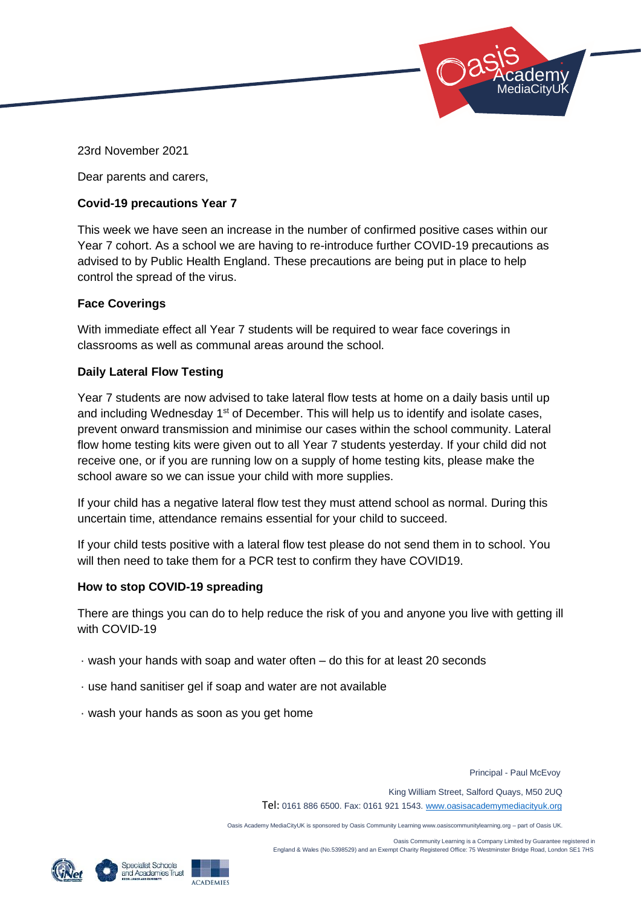

23rd November 2021

Dear parents and carers,

## **Covid-19 precautions Year 7**

This week we have seen an increase in the number of confirmed positive cases within our Year 7 cohort. As a school we are having to re-introduce further COVID-19 precautions as advised to by Public Health England. These precautions are being put in place to help control the spread of the virus.

## **Face Coverings**

With immediate effect all Year 7 students will be required to wear face coverings in classrooms as well as communal areas around the school.

## **Daily Lateral Flow Testing**

Year 7 students are now advised to take lateral flow tests at home on a daily basis until up and including Wednesday 1<sup>st</sup> of December. This will help us to identify and isolate cases, prevent onward transmission and minimise our cases within the school community. Lateral flow home testing kits were given out to all Year 7 students yesterday. If your child did not receive one, or if you are running low on a supply of home testing kits, please make the school aware so we can issue your child with more supplies.

If your child has a negative lateral flow test they must attend school as normal. During this uncertain time, attendance remains essential for your child to succeed.

If your child tests positive with a lateral flow test please do not send them in to school. You will then need to take them for a PCR test to confirm they have COVID19.

## **How to stop COVID-19 spreading**

There are things you can do to help reduce the risk of you and anyone you live with getting ill with COVID-19

- · wash your hands with soap and water often do this for at least 20 seconds
- · use hand sanitiser gel if soap and water are not available
- · wash your hands as soon as you get home

Principal - Paul McEvoy

King William Street, Salford Quays, M50 2UQ

Tel: 0161 886 6500. Fax: 0161 921 1543[. www.oasisacademymediacityuk.org](http://www.oasisacademymediacityuk.org/)

Oasis Academy MediaCityUK is sponsored by Oasis Community Learning www.oasiscommunitylearning.org – part of Oasis UK.

Oasis Community Learning is a Company Limited by Guarantee registered in





England & Wales (No.5398529) and an Exempt Charity Registered Office: 75 Westminster Bridge Road, London SE1 7HS